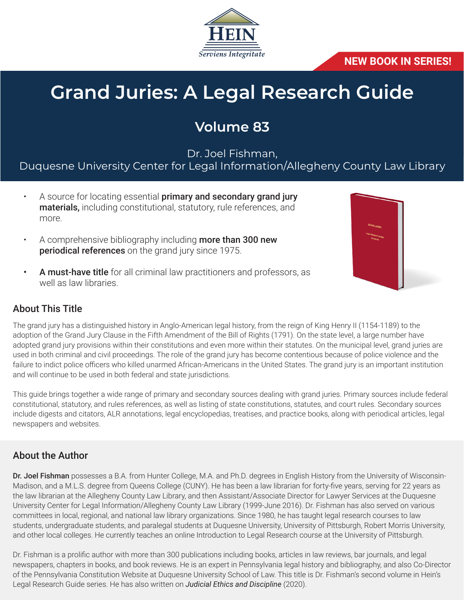

**NEW BOOK IN SERIES!**

# **Grand Juries: A Legal Research Guide**

# **Volume 83**

Dr. Joel Fishman,

Duquesne University Center for Legal Information/Allegheny County Law Library

- A source for locating essential primary and secondary grand jury materials, including constitutional, statutory, rule references, and more.
- A comprehensive bibliography including **more than 300 new** periodical references on the grand jury since 1975.
- A must-have title for all criminal law practitioners and professors, as well as law libraries.



## About This Title

The grand jury has a distinguished history in Anglo-American legal history, from the reign of King Henry II (1154-1189) to the adoption of the Grand Jury Clause in the Fifth Amendment of the Bill of Rights (1791). On the state level, a large number have adopted grand jury provisions within their constitutions and even more within their statutes. On the municipal level, grand juries are used in both criminal and civil proceedings. The role of the grand jury has become contentious because of police violence and the failure to indict police officers who killed unarmed African-Americans in the United States. The grand jury is an important institution and will continue to be used in both federal and state jurisdictions.

This guide brings together a wide range of primary and secondary sources dealing with grand juries. Primary sources include federal constitutional, statutory, and rules references, as well as listing of state constitutions, statutes, and court rules. Secondary sources include digests and citators, ALR annotations, legal encyclopedias, treatises, and practice books, along with periodical articles, legal newspapers and websites.

## About the Author

Dr. Joel Fishman possesses a B.A. from Hunter College, M.A. and Ph.D. degrees in English History from the University of Wisconsin-Madison, and a M.L.S. degree from Queens College (CUNY). He has been a law librarian for forty-five years, serving for 22 years as the law librarian at the Allegheny County Law Library, and then Assistant/Associate Director for Lawyer Services at the Duquesne University Center for Legal Information/Allegheny County Law Library (1999-June 2016). Dr. Fishman has also served on various committees in local, regional, and national law library organizations. Since 1980, he has taught legal research courses to law students, undergraduate students, and paralegal students at Duquesne University, University of Pittsburgh, Robert Morris University, and other local colleges. He currently teaches an online Introduction to Legal Research course at the University of Pittsburgh.

Dr. Fishman is a prolific author with more than 300 publications including books, articles in law reviews, bar journals, and legal newspapers, chapters in books, and book reviews. He is an expert in Pennsylvania legal history and bibliography, and also Co-Director of the Pennsylvania Constitution Website at Duquesne University School of Law. This title is Dr. Fishman's second volume in Hein's Legal Research Guide series. He has also written on *Judicial Ethics and Discipline* (2020).